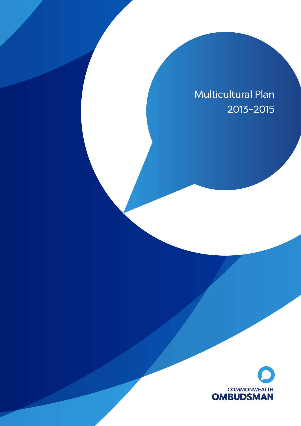# Multicultural Plan 2013–2015

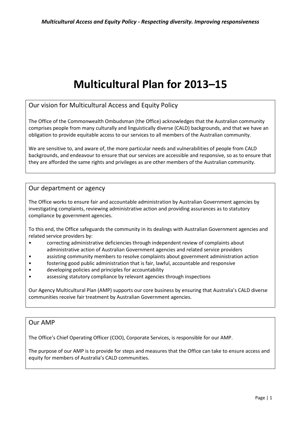# **Multicultural Plan for 2013–15**

Our vision for Multicultural Access and Equity Policy

 comprises people from many culturally and linguistically diverse (CALD) backgrounds, and that we have an obligation to provide equitable access to our services to all members of the Australian community. The Office of the Commonwealth Ombudsman (the Office) acknowledges that the Australian community

 backgrounds, and endeavour to ensure that our services are accessible and responsive, so as to ensure that they are afforded the same rights and privileges as are other members of the Australian community. We are sensitive to, and aware of, the more particular needs and vulnerabilities of people from CALD

## Our department or agency

 investigating complaints, reviewing administrative action and providing assurances as to statutory compliance by government agencies. The Office works to ensure fair and accountable administration by Australian Government agencies by

To this end, the Office safeguards the community in its dealings with Australian Government agencies and related service providers by:

- correcting administrative deficiencies through independent review of complaints about administrative action of Australian Government agencies and related service providers
- assisting community members to resolve complaints about government administration action
- fostering good public administration that is fair, lawful, accountable and responsive
- developing policies and principles for accountability
- assessing statutory compliance by relevant agencies through inspections

Our Agency Multicultural Plan (AMP) supports our core business by ensuring that Australia's CALD diverse communities receive fair treatment by Australian Government agencies.

## Our AMP

The Office's Chief Operating Officer (COO), Corporate Services, is responsible for our AMP.

 The purpose of our AMP is to provide for steps and measures that the Office can take to ensure access and equity for members of Australia's CALD communities.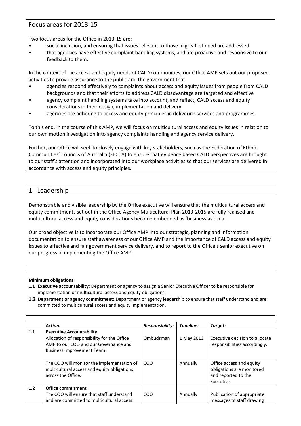# Focus areas for 2013-15

Two focus areas for the Office in 2013-15 are:

- • social inclusion, and ensuring that issues relevant to those in greatest need are addressed
- that agencies have effective complaint handling systems, and are proactive and responsive to our feedback to them.

 activities to provide assurance to the public and the government that: In the context of the access and equity needs of CALD communities, our Office AMP sets out our proposed

- backgrounds and that their efforts to address CALD disadvantage are targeted and effective agencies respond effectively to complaints about access and equity issues from people from CALD
- agency complaint handling systems take into account, and reflect, CALD access and equity considerations in their design, implementation and delivery
- agencies are adhering to access and equity principles in delivering services and programmes.

 To this end, in the course of this AMP, we will focus on multicultural access and equity issues in relation to our own motion investigation into agency complaints handling and agency service delivery.

 to our staff's attention and incorporated into our workplace activities so that our services are delivered in accordance with access and equity principles.<br>1. Leadership Further, our Office will seek to closely engage with key stakeholders, such as the Federation of Ethnic Communities' Councils of Australia (FECCA) to ensure that evidence based CALD perspectives are brought

Demonstrable and visible leadership by the Office executive will ensure that the multicultural access and equity commitments set out in the Office Agency Multicultural Plan 2013-2015 are fully realised and multicultural access and equity considerations become embedded as 'business as usual'.

 Our broad objective is to incorporate our Office AMP into our strategic, planning and information documentation to ensure staff awareness of our Office AMP and the importance of CALD access and equity issues to effective and fair government service delivery, and to report to the Office's senior executive on our progress in implementing the Office AMP.

- **1.1 Executive accountability:** Department or agency to assign a Senior Executive Officer to be responsible for implementation of multicultural access and equity obligations.
- **1.2 Department or agency commitment:** Department or agency leadership to ensure that staff understand and are committed to multicultural access and equity implementation.

|     | <b>Action:</b>                                                                                                                                        | <b>Responsibility:</b> | Timeline:  | Target:                                                                                    |
|-----|-------------------------------------------------------------------------------------------------------------------------------------------------------|------------------------|------------|--------------------------------------------------------------------------------------------|
| 1.1 | <b>Executive Accountability</b><br>Allocation of responsibility for the Office<br>AMP to our COO and our Governance and<br>Business Improvement Team. | Ombudsman              | 1 May 2013 | Executive decision to allocate<br>responsibilities accordingly.                            |
|     | The COO will monitor the implementation of<br>multicultural access and equity obligations<br>across the Office.                                       | COO                    | Annually   | Office access and equity<br>obligations are monitored<br>and reported to the<br>Executive. |
| 1.2 | <b>Office commitment</b><br>The COO will ensure that staff understand<br>and are committed to multicultural access                                    | COO                    | Annually   | Publication of appropriate<br>messages to staff drawing                                    |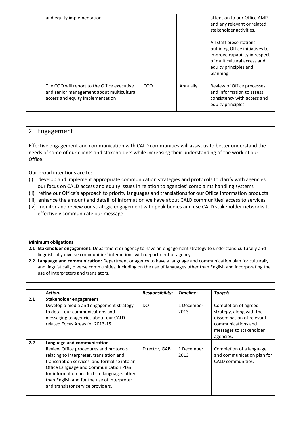| and equity implementation.                                                                                                   |            |          | attention to our Office AMP<br>and any relevant or related<br>stakeholder activities.                                                                            |
|------------------------------------------------------------------------------------------------------------------------------|------------|----------|------------------------------------------------------------------------------------------------------------------------------------------------------------------|
|                                                                                                                              |            |          | All staff presentations<br>outlining Office initiatives to<br>improve capability in respect<br>of multicultural access and<br>equity principles and<br>planning. |
| The COO will report to the Office executive<br>and senior management about multicultural<br>access and equity implementation | <b>COO</b> | Annually | Review of Office processes<br>and information to assess<br>consistency with access and<br>equity principles.                                                     |

# 2. Engagement

 Effective engagement and communication with CALD communities will assist us to better understand the needs of some of our clients and stakeholders while increasing their understanding of the work of our Office.

Our broad intentions are to:

- (i) develop and implement appropriate communication strategies and protocols to clarify with agencies our focus on CALD access and equity issues in relation to agencies' complaints handling systems
- (ii) refine our Office's approach to priority languages and translations for our Office information products
- (iii) enhance the amount and detail of information we have about CALD communities' access to services
- (iv) monitor and review our strategic engagement with peak bodies and use CALD stakeholder networks to effectively communicate our message.

- **2.1 Stakeholder engagement:** Department or agency to have an engagement strategy to understand culturally and linguistically diverse communities' interactions with department or agency.
- **2.2 Language and communication:** Department or agency to have a language and communication plan for culturally and linguistically diverse communities, including on the use of languages other than English and incorporating the use of interpreters and translators.

|     | <b>Action:</b>                                                                                                                                                                                                                                                                                                                                 | <b>Responsibility:</b> | Timeline:          | Target:                                                                                                                                     |
|-----|------------------------------------------------------------------------------------------------------------------------------------------------------------------------------------------------------------------------------------------------------------------------------------------------------------------------------------------------|------------------------|--------------------|---------------------------------------------------------------------------------------------------------------------------------------------|
| 2.1 | Stakeholder engagement<br>Develop a media and engagement strategy<br>to detail our communications and<br>messaging to agencies about our CALD<br>related Focus Areas for 2013-15.                                                                                                                                                              | DO.                    | 1 December<br>2013 | Completion of agreed<br>strategy, along with the<br>dissemination of relevant<br>communications and<br>messages to stakeholder<br>agencies. |
| 2.2 | Language and communication<br>Review Office procedures and protocols<br>relating to interpreter, translation and<br>transcription services, and formalise into an<br>Office Language and Communication Plan<br>for information products in languages other<br>than English and for the use of interpreter<br>and translator service providers. | Director, GABI         | 1 December<br>2013 | Completion of a language<br>and communication plan for<br>CALD communities.                                                                 |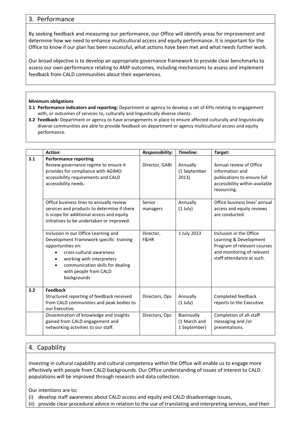# 3. Performance

By seeking feedback and measuring our performance, our Office will identify areas for improvement and determine how we need to enhance multicultural access and equity performance. It is important for the Office to know if our plan has been successful, what actions have been met and what needs further work.

Our broad objective is to develop an appropriate governance framework to provide clear benchmarks to assess our own performance relating to AMP outcomes, including mechanisms to assess and implement feedback from CALD communities about their experiences.

#### **Minimum obligations**

- **3.1 Performance indicators and reporting:** Department or agency to develop a set of KPIs relating to engagement with, or outcomes of services to, culturally and linguistically diverse clients.
- **3.2 Feedback:** Department or agency to have arrangements in place to ensure affected culturally and linguistically diverse communities are able to provide feedback on department or agency multicultural access and equity performance.

|     | Action:                                                                                                                                                                                                                                   | Responsibility:    | Timeline:                                  | Target:                                                                                                                                     |
|-----|-------------------------------------------------------------------------------------------------------------------------------------------------------------------------------------------------------------------------------------------|--------------------|--------------------------------------------|---------------------------------------------------------------------------------------------------------------------------------------------|
| 3.1 | <b>Performance reporting</b><br>Review governance regime to ensure it<br>provides for compliance with AGIMO<br>accessibility requirements and CALD<br>accessibility needs.                                                                | Director, GABI     | Annually<br>(1 September<br>2013)          | Annual review of Office<br>information and<br>publications to ensure full<br>accessibility within available<br>resourcing.                  |
|     | Office business lines to annually review<br>services and products to determine if there<br>is scope for additional access and equity<br>initiatives to be undertaken or improved.                                                         | Senior<br>managers | Annually<br>$(1$ July)                     | Office business lines' annual<br>access and equity reviews<br>are conducted.                                                                |
|     | Inclusion in our Office Learning and<br>Development Framework specific training<br>opportunities on:<br>cross-cultural awareness<br>working with interpreters<br>communication skills for dealing<br>with people from CALD<br>backgrounds | Director,<br>F&HR  | 1 July 2013                                | Inclusion in the Office<br>Learning & Development<br>Program of relevant courses<br>and monitoring of relevant<br>staff attendance at such. |
| 3.2 | <b>Feedback</b><br>Structured reporting of feedback received<br>from CALD communities and peak bodies to<br>our Executive.                                                                                                                | Directors, Ops     | Annually<br>$(1$ July)                     | Completed feedback<br>reports to the Executive.                                                                                             |
|     | Dissemination of knowledge and insights<br>gained from CALD engagement and<br>networking activities to our staff.                                                                                                                         | Directors, Ops     | Biannually<br>(1 March and<br>1 September) | Completion of all-staff<br>messaging and /or<br>presentations.                                                                              |

# 4. Capability

 effectively with people from CALD backgrounds. Our Office understanding of issues of interest to CALD Investing in cultural capability and cultural competency within the Office will enable us to engage more populations will be improved through research and data collection.

Our intentions are to:

(i) develop staff awareness about CALD access and equity and CALD disadvantage issues,

(ii) provide clear procedural advice in relation to the use of translating and interpreting services, and their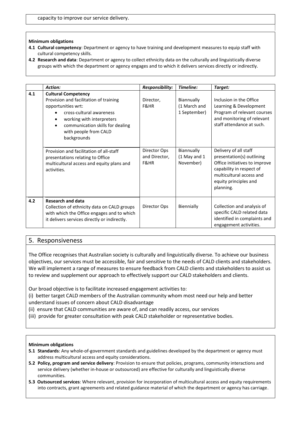#### **Minimum obligations**

- **4.1 Cultural competency**: Department or agency to have training and development measures to equip staff with cultural competency skills.
- **4.2 Research and data**: Department or agency to collect ethnicity data on the culturally and linguistically diverse groups with which the department or agency engages and to which it delivers services directly or indirectly.

|     | Action:                                                                                                                                                                                                                         | Responsibility:                       | Timeline:                                  | Target:                                                                                                                                                                           |
|-----|---------------------------------------------------------------------------------------------------------------------------------------------------------------------------------------------------------------------------------|---------------------------------------|--------------------------------------------|-----------------------------------------------------------------------------------------------------------------------------------------------------------------------------------|
| 4.1 | <b>Cultural Competency</b><br>Provision and facilitation of training<br>opportunities wrt:<br>cross-cultural awareness<br>working with interpreters<br>communication skills for dealing<br>with people from CALD<br>backgrounds | Director,<br>F&HR                     | Biannually<br>(1 March and<br>1 September) | Inclusion in the Office<br>Learning & Development<br>Program of relevant courses<br>and monitoring of relevant<br>staff attendance at such.                                       |
|     | Provision and facilitation of all-staff<br>presentations relating to Office<br>multicultural access and equity plans and<br>activities.                                                                                         | Director Ops<br>and Director,<br>F&HR | Biannually<br>(1 May and 1<br>November)    | Delivery of all staff<br>presentation(s) outlining<br>Office initiatives to improve<br>capability in respect of<br>multicultural access and<br>equity principles and<br>planning. |
| 4.2 | <b>Research and data</b><br>Collection of ethnicity data on CALD groups<br>with which the Office engages and to which<br>it delivers services directly or indirectly.                                                           | Director Ops                          | Biennially                                 | Collection and analysis of<br>specific CALD related data<br>identified in complaints and<br>engagement activities.                                                                |

### 5. Responsiveness

The Office recognises that Australian society is culturally and linguistically diverse. To achieve our business objectives, our services must be accessible, fair and sensitive to the needs of CALD clients and stakeholders. We will implement a range of measures to ensure feedback from CALD clients and stakeholders to assist us to review and supplement our approach to effectively support our CALD stakeholders and clients.

Our broad objective is to facilitate increased engagement activities to:

- Our broad objective is to facilitate increased engagement activities to:<br>(i) better target CALD members of the Australian community whom most need our help and better understand issues of concern about CALD disadvantage
- (ii) ensure that CALD communities are aware of, and can readily access, our services
- (iii) provide for greater consultation with peak CALD stakeholder or representative bodies.

- **5.1 Standards**: Any whole-of-government standards and guidelines developed by the department or agency must address multicultural access and equity considerations.
- **5.2 Policy, program and service delivery**: Provision to ensure that policies, programs, community interactions and service delivery (whether in-house or outsourced) are effective for culturally and linguistically diverse communities.
- **5.3 Outsourced services**: Where relevant, provision for incorporation of multicultural access and equity requirements into contracts, grant agreements and related guidance material of which the department or agency has carriage.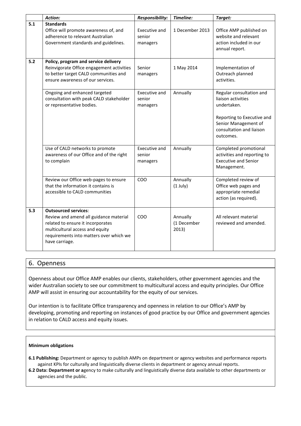|       | Action:                                                                                                                                                                                                    | Responsibility:                     | Timeline:                        | Target:                                                                                                                                                      |
|-------|------------------------------------------------------------------------------------------------------------------------------------------------------------------------------------------------------------|-------------------------------------|----------------------------------|--------------------------------------------------------------------------------------------------------------------------------------------------------------|
| 5.1   | <b>Standards</b><br>Office will promote awareness of, and<br>adherence to relevant Australian<br>Government standards and guidelines.                                                                      | Executive and<br>senior<br>managers | 1 December 2013                  | Office AMP published on<br>website and relevant<br>action included in our<br>annual report.                                                                  |
| $5.2$ | Policy, program and service delivery<br>Reinvigorate Office engagement activities<br>to better target CALD communities and<br>ensure awareness of our services.                                            | Senior<br>managers                  | 1 May 2014                       | Implementation of<br>Outreach planned<br>activities.                                                                                                         |
|       | Ongoing and enhanced targeted<br>consultation with peak CALD stakeholder<br>or representative bodies.                                                                                                      | Executive and<br>senior<br>managers | Annually                         | Regular consultation and<br>liaison activities<br>undertaken.<br>Reporting to Executive and<br>Senior Management of<br>consultation and liaison<br>outcomes. |
|       | Use of CALD networks to promote<br>awareness of our Office and of the right<br>to complain                                                                                                                 | Executive and<br>senior<br>managers | Annually                         | Completed promotional<br>activities and reporting to<br><b>Executive and Senior</b><br>Management.                                                           |
|       | Review our Office web-pages to ensure<br>that the information it contains is<br>accessible to CALD communities                                                                                             | COO                                 | Annually<br>$(1$ July)           | Completed review of<br>Office web pages and<br>appropriate remedial<br>action (as required).                                                                 |
| 5.3   | <b>Outsourced services:</b><br>Review and amend all guidance material<br>related to ensure it incorporates<br>multicultural access and equity<br>requirements into matters over which we<br>have carriage. | COO                                 | Annually<br>(1 December<br>2013) | All relevant material<br>reviewed and amended.                                                                                                               |

# 6. Openness

 wider Australian society to see our commitment to multicultural access and equity principles. Our Office AMP will assist in ensuring our accountability for the equity of our services. Openness about our Office AMP enables our clients, stakeholders, other government agencies and the

Our intention is to facilitate Office transparency and openness in relation to our Office's AMP by developing, promoting and reporting on instances of good practice by our Office and government agencies in relation to CALD access and equity issues.

- **6.1 Publishing:** Department or agency to publish AMPs on department or agency websites and performance reports against KPIs for culturally and linguistically diverse clients in department or agency annual reports.
- **6.2 Data: Department or a**gency to make culturally and linguistically diverse data available to other departments or agencies and the public.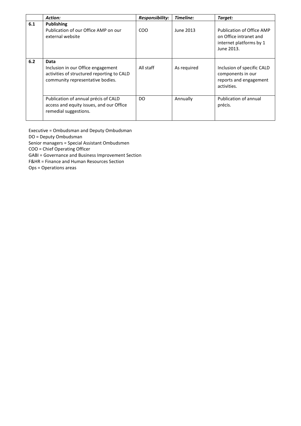|     | <b>Action:</b>                                                                                                               | Responsibility: | Timeline:   | Target:                                                                                      |
|-----|------------------------------------------------------------------------------------------------------------------------------|-----------------|-------------|----------------------------------------------------------------------------------------------|
| 6.1 | <b>Publishing</b><br>Publication of our Office AMP on our<br>external website                                                | CO <sub>O</sub> | June 2013   | Publication of Office AMP<br>on Office intranet and<br>internet platforms by 1<br>June 2013. |
| 6.2 | Data<br>Inclusion in our Office engagement<br>activities of structured reporting to CALD<br>community representative bodies. | All staff       | As required | Inclusion of specific CALD<br>components in our<br>reports and engagement<br>activities.     |
|     | Publication of annual précis of CALD<br>access and equity issues, and our Office<br>remedial suggestions.                    | DO.             | Annually    | Publication of annual<br>précis.                                                             |

Executive = Ombudsman and Deputy Ombudsman

DO = Deputy Ombudsman

Senior managers = Special Assistant Ombudsmen

COO = Chief Operating Officer

GABI = Governance and Business Improvement Section

F&HR = Finance and Human Resources Section

Ops = Operations areas